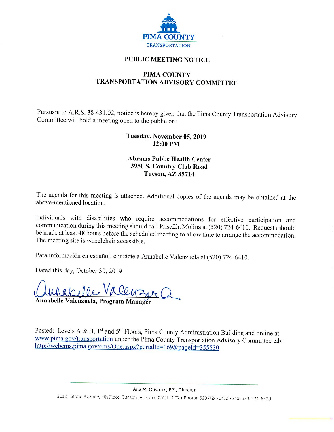

# **PUBLIC MEETING NOTICE**

# **PIMA COUNTY** TRANSPORTATION ADVISORY COMMITTEE

Pursuant to A.R.S. 38-431.02, notice is hereby given that the Pima County Transportation Advisory Committee will hold a meeting open to the public on:

## Tuesday, November 05, 2019 12:00 PM

#### **Abrams Public Health Center** 3950 S. Country Club Road **Tucson, AZ 85714**

The agenda for this meeting is attached. Additional copies of the agenda may be obtained at the above-mentioned location.

Individuals with disabilities who require accommodations for effective participation and communication during this meeting should call Priscilla Molina at (520) 724-6410. Requests should be made at least 48 hours before the scheduled meeting to allow time to arrange the accommodation. The meeting site is wheelchair accessible.

Para información en español, contácte a Annabelle Valenzuela al (520) 724-6410.

Dated this day, October 30, 2019

Annabelle Valenzuela, Program Manag

Posted: Levels A & B,  $1^{st}$  and  $5^{th}$  Floors, Pima County Administration Building and online at www.pima.gov/transportation under the Pima County Transportation Advisory Committee tab: http://webcms.pima.gov/cms/One.aspx?portalId=169&pageId=355530

Ana M. Olivares, P.E., Director

201 N. Stone Avenue, 4th Floor, Tucson, Arizona 85701-1207 • Phone: 520-724-6410 • Fax: 520-724-6439